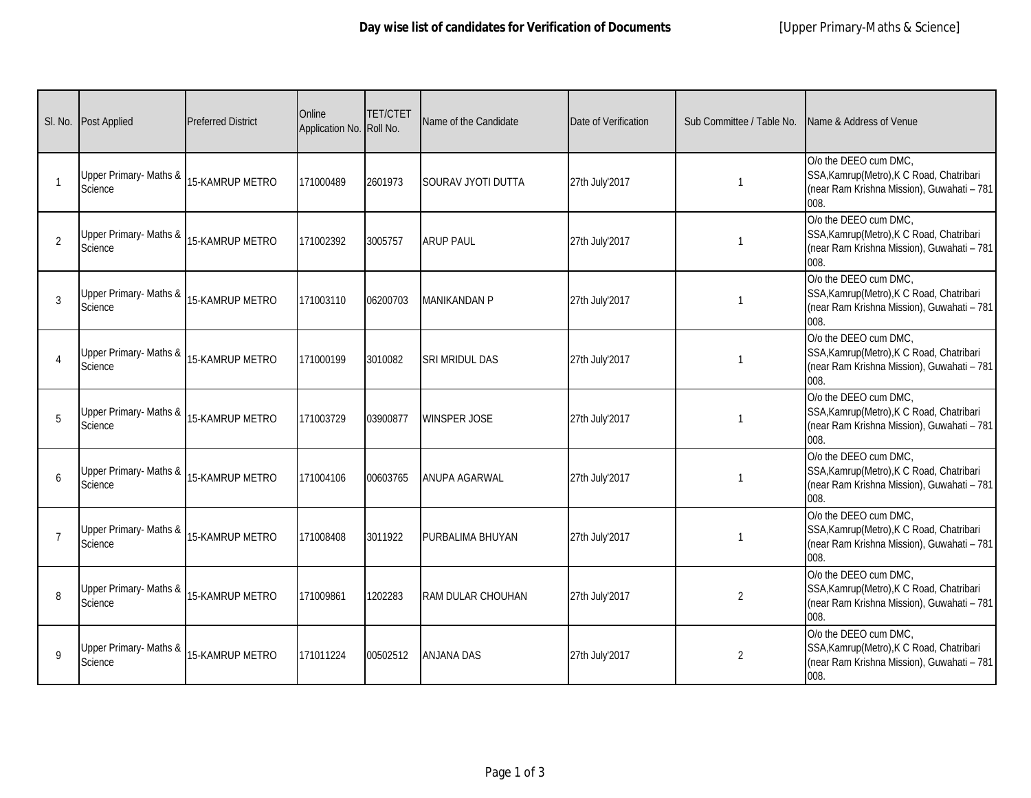|                         | SI. No. Post Applied              | <b>Preferred District</b> | Online<br>Application No. Roll No. | <b>TET/CTET</b> | Name of the Candidate    | Date of Verification | Sub Committee / Table No. | Name & Address of Venue                                                                                                  |
|-------------------------|-----------------------------------|---------------------------|------------------------------------|-----------------|--------------------------|----------------------|---------------------------|--------------------------------------------------------------------------------------------------------------------------|
| $\overline{\mathbf{1}}$ | Upper Primary- Maths &<br>Science | 15-KAMRUP METRO           | 171000489                          | 2601973         | SOURAV JYOTI DUTTA       | 27th July'2017       | $\mathbf{1}$              | O/o the DEEO cum DMC,<br>SSA, Kamrup (Metro), K C Road, Chatribari<br>(near Ram Krishna Mission), Guwahati - 781<br>008. |
| $\overline{2}$          | Upper Primary- Maths &<br>Science | 15-KAMRUP METRO           | 171002392                          | 3005757         | <b>ARUP PAUL</b>         | 27th July'2017       | 1                         | O/o the DEEO cum DMC,<br>SSA, Kamrup (Metro), K C Road, Chatribari<br>(near Ram Krishna Mission), Guwahati - 781<br>008. |
| 3                       | Upper Primary- Maths &<br>Science | 15-KAMRUP METRO           | 171003110                          | 06200703        | <b>MANIKANDAN P</b>      | 27th July'2017       | 1                         | O/o the DEEO cum DMC,<br>SSA, Kamrup (Metro), K C Road, Chatribari<br>(near Ram Krishna Mission), Guwahati - 781<br>008. |
| $\overline{4}$          | Upper Primary- Maths &<br>Science | 15-KAMRUP METRO           | 171000199                          | 3010082         | SRI MRIDUL DAS           | 27th July'2017       | 1                         | O/o the DEEO cum DMC,<br>SSA, Kamrup (Metro), K C Road, Chatribari<br>(near Ram Krishna Mission), Guwahati - 781<br>008. |
| 5                       | Upper Primary- Maths &<br>Science | 15-KAMRUP METRO           | 171003729                          | 03900877        | <b>WINSPER JOSE</b>      | 27th July'2017       | $\mathbf{1}$              | O/o the DEEO cum DMC,<br>SSA, Kamrup (Metro), K C Road, Chatribari<br>(near Ram Krishna Mission), Guwahati - 781<br>008. |
| $\mathbf{6}$            | Upper Primary- Maths &<br>Science | 15-KAMRUP METRO           | 171004106                          | 00603765        | <b>ANUPA AGARWAL</b>     | 27th July'2017       |                           | O/o the DEEO cum DMC,<br>SSA, Kamrup (Metro), K C Road, Chatribari<br>(near Ram Krishna Mission), Guwahati - 781<br>008. |
| $\overline{7}$          | Upper Primary- Maths &<br>Science | 15-KAMRUP METRO           | 171008408                          | 3011922         | PURBALIMA BHUYAN         | 27th July'2017       | 1                         | O/o the DEEO cum DMC,<br>SSA, Kamrup (Metro), K C Road, Chatribari<br>(near Ram Krishna Mission), Guwahati - 781<br>008. |
| 8                       | Upper Primary- Maths &<br>Science | <b>15-KAMRUP METRO</b>    | 171009861                          | 1202283         | <b>RAM DULAR CHOUHAN</b> | 27th July'2017       | $\overline{2}$            | O/o the DEEO cum DMC,<br>SSA, Kamrup (Metro), K C Road, Chatribari<br>(near Ram Krishna Mission), Guwahati - 781<br>008. |
| $\mathsf{Q}$            | Upper Primary- Maths &<br>Science | 15-KAMRUP METRO           | 171011224                          | 00502512        | <b>ANJANA DAS</b>        | 27th July'2017       | $\overline{2}$            | O/o the DEEO cum DMC,<br>SSA, Kamrup (Metro), K C Road, Chatribari<br>(near Ram Krishna Mission), Guwahati - 781<br>008. |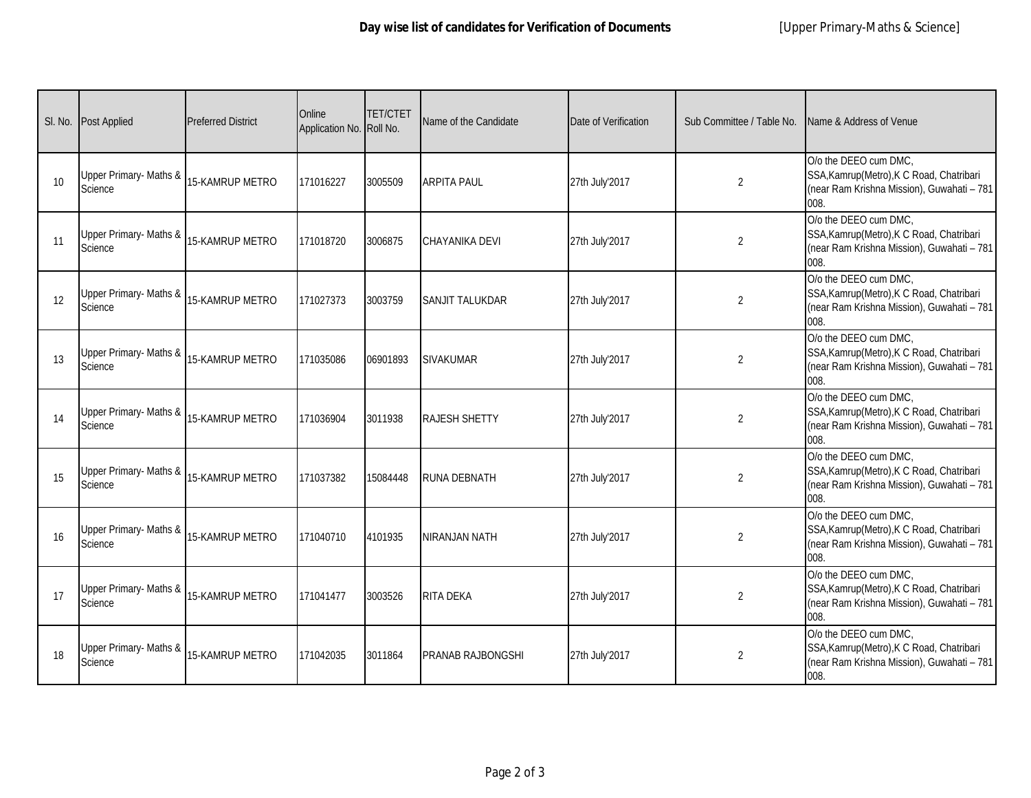|    | SI. No. Post Applied              | <b>Preferred District</b> | Online<br>Application No. Roll No. | <b>TET/CTET</b> | Name of the Candidate    | Date of Verification | Sub Committee / Table No. | Name & Address of Venue                                                                                                  |
|----|-----------------------------------|---------------------------|------------------------------------|-----------------|--------------------------|----------------------|---------------------------|--------------------------------------------------------------------------------------------------------------------------|
| 10 | Upper Primary- Maths &<br>Science | 15-KAMRUP METRO           | 171016227                          | 3005509         | <b>ARPITA PAUL</b>       | 27th July'2017       | $\overline{2}$            | O/o the DEEO cum DMC,<br>SSA, Kamrup (Metro), K C Road, Chatribari<br>(near Ram Krishna Mission), Guwahati - 781<br>008. |
| 11 | Upper Primary- Maths &<br>Science | 15-KAMRUP METRO           | 171018720                          | 3006875         | CHAYANIKA DEVI           | 27th July'2017       | $\overline{2}$            | O/o the DEEO cum DMC,<br>SSA, Kamrup (Metro), K C Road, Chatribari<br>(near Ram Krishna Mission), Guwahati - 781<br>008. |
| 12 | Upper Primary- Maths &<br>Science | 15-KAMRUP METRO           | 171027373                          | 3003759         | <b>SANJIT TALUKDAR</b>   | 27th July'2017       | $\overline{2}$            | O/o the DEEO cum DMC,<br>SSA, Kamrup (Metro), K C Road, Chatribari<br>(near Ram Krishna Mission), Guwahati - 781<br>008. |
| 13 | Upper Primary- Maths &<br>Science | 15-KAMRUP METRO           | 171035086                          | 06901893        | <b>SIVAKUMAR</b>         | 27th July'2017       | $\overline{2}$            | O/o the DEEO cum DMC,<br>SSA, Kamrup (Metro), K C Road, Chatribari<br>(near Ram Krishna Mission), Guwahati - 781<br>008. |
| 14 | Upper Primary- Maths &<br>Science | 15-KAMRUP METRO           | 171036904                          | 3011938         | <b>RAJESH SHETTY</b>     | 27th July'2017       | $\overline{2}$            | O/o the DEEO cum DMC,<br>SSA, Kamrup (Metro), K C Road, Chatribari<br>(near Ram Krishna Mission), Guwahati - 781<br>008. |
| 15 | Upper Primary- Maths &<br>Science | 15-KAMRUP METRO           | 171037382                          | 15084448        | <b>RUNA DEBNATH</b>      | 27th July'2017       | 2                         | O/o the DEEO cum DMC,<br>SSA, Kamrup (Metro), K C Road, Chatribari<br>(near Ram Krishna Mission), Guwahati - 781<br>008. |
| 16 | Upper Primary- Maths &<br>Science | 15-KAMRUP METRO           | 171040710                          | 4101935         | <b>NIRANJAN NATH</b>     | 27th July'2017       | $\overline{2}$            | O/o the DEEO cum DMC,<br>SSA, Kamrup (Metro), K C Road, Chatribari<br>(near Ram Krishna Mission), Guwahati - 781<br>008. |
| 17 | Upper Primary- Maths &<br>Science | <b>15-KAMRUP METRO</b>    | 171041477                          | 3003526         | <b>RITA DEKA</b>         | 27th July'2017       | $\overline{2}$            | O/o the DEEO cum DMC,<br>SSA, Kamrup (Metro), K C Road, Chatribari<br>(near Ram Krishna Mission), Guwahati - 781<br>008. |
| 18 | Upper Primary- Maths &<br>Science | 15-KAMRUP METRO           | 171042035                          | 3011864         | <b>PRANAB RAJBONGSHI</b> | 27th July'2017       | $\overline{2}$            | O/o the DEEO cum DMC,<br>SSA, Kamrup (Metro), K C Road, Chatribari<br>(near Ram Krishna Mission), Guwahati - 781<br>008. |